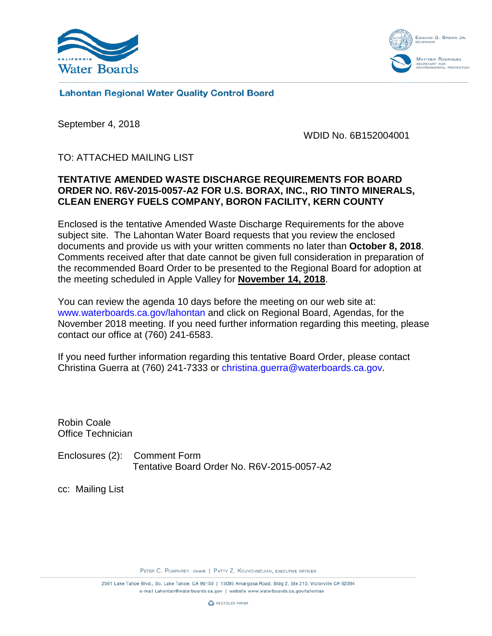



**Lahontan Regional Water Quality Control Board** 

September 4, 2018

WDID No. 6B152004001

TO: ATTACHED MAILING LIST

## **TENTATIVE AMENDED WASTE DISCHARGE REQUIREMENTS FOR BOARD ORDER NO. R6V-2015-0057-A2 FOR U.S. BORAX, INC., RIO TINTO MINERALS, CLEAN ENERGY FUELS COMPANY, BORON FACILITY, KERN COUNTY**

Enclosed is the tentative Amended Waste Discharge Requirements for the above subject site. The Lahontan Water Board requests that you review the enclosed documents and provide us with your written comments no later than **October 8, 2018**. Comments received after that date cannot be given full consideration in preparation of the recommended Board Order to be presented to the Regional Board for adoption at the meeting scheduled in Apple Valley for **November 14, 2018**.

You can review the agenda 10 days before the meeting on our web site at: [www.waterboards.ca.gov/lahontan](http://www.waterboards.ca.gov/lahontan) and click on Regional Board, Agendas, for the November 2018 meeting. If you need further information regarding this meeting, please contact our office at (760) 241-6583.

If you need further information regarding this tentative Board Order, please contact Christina Guerra at (760) 241-7333 or [christina.guerra@waterboards.ca.gov.](mailto:christina.guerra@waterboards.ca.gov)

Robin Coale Office Technician

Enclosures (2): Comment Form Tentative Board Order No. R6V-2015-0057-A2

cc: Mailing List

PETER C. PUMPHREY, CHAIR | PATTY Z. KOUYOUMDJIAN, EXECUTIVE OFFICER

2501 Lake Tahoe Blvd., So. Lake Tahoe, CA 96150 | 15095 Amargosa Road, Bldg 2, Ste 210, Victorville CA 92394 e-mail Lahontan@waterboards.ca.gov | website www.waterboards.ca.gov/lahontan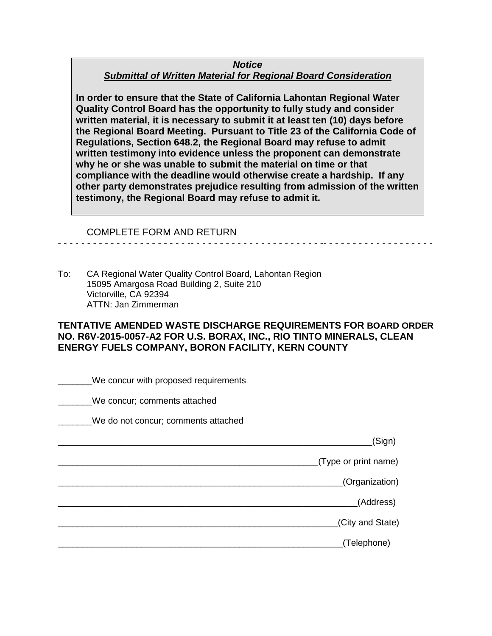#### *Notice Submittal of Written Material for Regional Board Consideration*

**In order to ensure that the State of California Lahontan Regional Water Quality Control Board has the opportunity to fully study and consider written material, it is necessary to submit it at least ten (10) days before the Regional Board Meeting. Pursuant to Title 23 of the California Code of Regulations, Section 648.2, the Regional Board may refuse to admit written testimony into evidence unless the proponent can demonstrate why he or she was unable to submit the material on time or that compliance with the deadline would otherwise create a hardship. If any other party demonstrates prejudice resulting from admission of the written testimony, the Regional Board may refuse to admit it.**

#### COMPLETE FORM AND RETURN

To: CA Regional Water Quality Control Board, Lahontan Region 15095 Amargosa Road Building 2, Suite 210 Victorville, CA 92394 ATTN: Jan Zimmerman

## **TENTATIVE AMENDED WASTE DISCHARGE REQUIREMENTS FOR BOARD ORDER NO. R6V-2015-0057-A2 FOR U.S. BORAX, INC., RIO TINTO MINERALS, CLEAN ENERGY FUELS COMPANY, BORON FACILITY, KERN COUNTY**

- - - - - - - - - - - - - - - - - - - - - - -- - - - - - - - - - - - - - - - - - - - - - -- - - - - - - - - - - - - - - - - - -

| We concur with proposed requirements |
|--------------------------------------|
| We concur; comments attached         |
| We do not concur; comments attached  |
| (Sign)                               |
| (Type or print name)                 |
| (Organization)                       |
| (Address)                            |
| (City and State)                     |
| (Telephone)                          |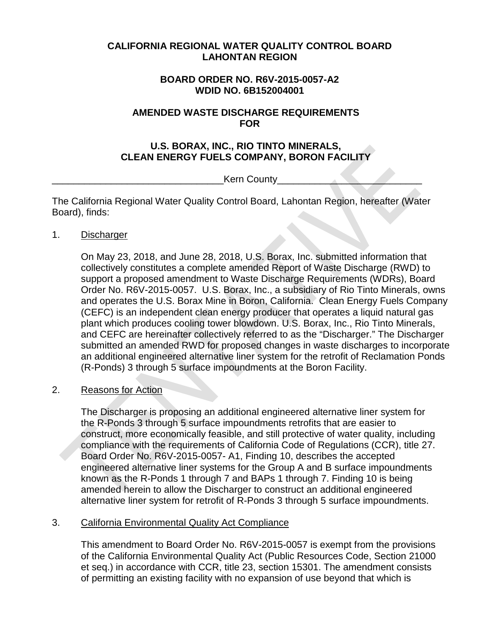## **CALIFORNIA REGIONAL WATER QUALITY CONTROL BOARD LAHONTAN REGION**

## **BOARD ORDER NO. R6V-2015-0057-A2 WDID NO. 6B152004001**

#### **AMENDED WASTE DISCHARGE REQUIREMENTS FOR**

## **U.S. BORAX, INC., RIO TINTO MINERALS, CLEAN ENERGY FUELS COMPANY, BORON FACILITY**

Kern County

The California Regional Water Quality Control Board, Lahontan Region, hereafter (Water Board), finds:

1. Discharger

On May 23, 2018, and June 28, 2018, U.S. Borax, Inc. submitted information that collectively constitutes a complete amended Report of Waste Discharge (RWD) to support a proposed amendment to Waste Discharge Requirements (WDRs), Board Order No. R6V-2015-0057. U.S. Borax, Inc., a subsidiary of Rio Tinto Minerals, owns and operates the U.S. Borax Mine in Boron, California. Clean Energy Fuels Company (CEFC) is an independent clean energy producer that operates a liquid natural gas plant which produces cooling tower blowdown. U.S. Borax, Inc., Rio Tinto Minerals, and CEFC are hereinafter collectively referred to as the "Discharger." The Discharger submitted an amended RWD for proposed changes in waste discharges to incorporate an additional engineered alternative liner system for the retrofit of Reclamation Ponds (R-Ponds) 3 through 5 surface impoundments at the Boron Facility.

## 2. Reasons for Action

The Discharger is proposing an additional engineered alternative liner system for the R-Ponds 3 through 5 surface impoundments retrofits that are easier to construct, more economically feasible, and still protective of water quality, including compliance with the requirements of California Code of Regulations (CCR), title 27. Board Order No. R6V-2015-0057- A1, Finding 10, describes the accepted engineered alternative liner systems for the Group A and B surface impoundments known as the R-Ponds 1 through 7 and BAPs 1 through 7. Finding 10 is being amended herein to allow the Discharger to construct an additional engineered alternative liner system for retrofit of R-Ponds 3 through 5 surface impoundments.

## 3. California Environmental Quality Act Compliance

This amendment to Board Order No. R6V-2015-0057 is exempt from the provisions of the California Environmental Quality Act (Public Resources Code, Section 21000 et seq.) in accordance with CCR, title 23, section 15301. The amendment consists of permitting an existing facility with no expansion of use beyond that which is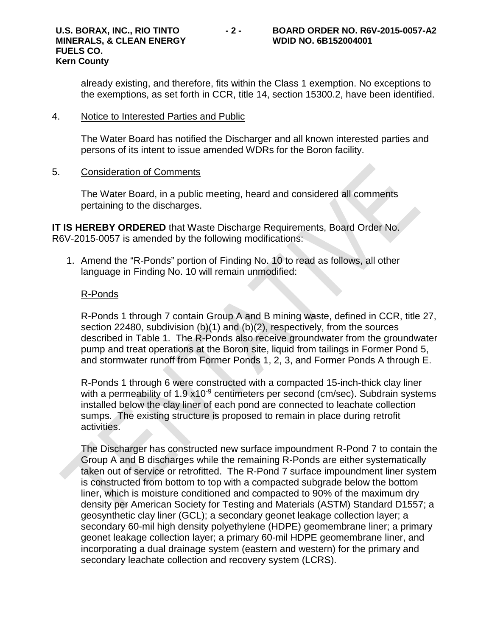already existing, and therefore, fits within the Class 1 exemption. No exceptions to the exemptions, as set forth in CCR, title 14, section 15300.2, have been identified.

#### 4. Notice to Interested Parties and Public

The Water Board has notified the Discharger and all known interested parties and persons of its intent to issue amended WDRs for the Boron facility.

#### 5. Consideration of Comments

The Water Board, in a public meeting, heard and considered all comments pertaining to the discharges.

**IT IS HEREBY ORDERED** that Waste Discharge Requirements, Board Order No. R6V-2015-0057 is amended by the following modifications:

1. Amend the "R-Ponds" portion of Finding No. 10 to read as follows, all other language in Finding No. 10 will remain unmodified:

#### R-Ponds

R-Ponds 1 through 7 contain Group A and B mining waste, defined in CCR, title 27, section 22480, subdivision (b)(1) and (b)(2), respectively, from the sources described in Table 1. The R-Ponds also receive groundwater from the groundwater pump and treat operations at the Boron site, liquid from tailings in Former Pond 5, and stormwater runoff from Former Ponds 1, 2, 3, and Former Ponds A through E.

R-Ponds 1 through 6 were constructed with a compacted 15-inch-thick clay liner with a permeability of  $1.9 \times 10^{-9}$  centimeters per second (cm/sec). Subdrain systems installed below the clay liner of each pond are connected to leachate collection sumps. The existing structure is proposed to remain in place during retrofit activities.

The Discharger has constructed new surface impoundment R-Pond 7 to contain the Group A and B discharges while the remaining R-Ponds are either systematically taken out of service or retrofitted. The R-Pond 7 surface impoundment liner system is constructed from bottom to top with a compacted subgrade below the bottom liner, which is moisture conditioned and compacted to 90% of the maximum dry density per American Society for Testing and Materials (ASTM) Standard D1557; a geosynthetic clay liner (GCL); a secondary geonet leakage collection layer; a secondary 60-mil high density polyethylene (HDPE) geomembrane liner; a primary geonet leakage collection layer; a primary 60-mil HDPE geomembrane liner, and incorporating a dual drainage system (eastern and western) for the primary and secondary leachate collection and recovery system (LCRS).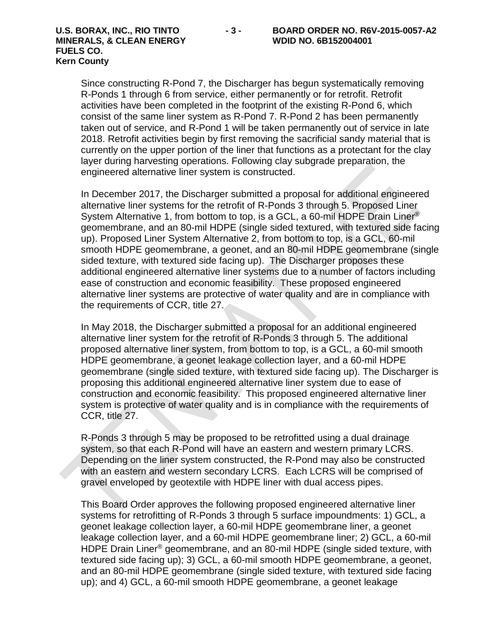# **MINERALS, & CLEAN ENERGY WDID NO. 6B152004001 FUELS CO. Kern County**

Since constructing R-Pond 7, the Discharger has begun systematically removing R-Ponds 1 through 6 from service, either permanently or for retrofit. Retrofit activities have been completed in the footprint of the existing R-Pond 6, which consist of the same liner system as R-Pond 7. R-Pond 2 has been permanently taken out of service, and R-Pond 1 will be taken permanently out of service in late 2018. Retrofit activities begin by first removing the sacrificial sandy material that is currently on the upper portion of the liner that functions as a protectant for the clay layer during harvesting operations. Following clay subgrade preparation, the engineered alternative liner system is constructed.

In December 2017, the Discharger submitted a proposal for additional engineered alternative liner systems for the retrofit of R-Ponds 3 through 5. Proposed Liner System Alternative 1, from bottom to top, is a GCL, a 60-mil HDPE Drain Liner® geomembrane, and an 80-mil HDPE (single sided textured, with textured side facing up). Proposed Liner System Alternative 2, from bottom to top, is a GCL, 60-mil smooth HDPE geomembrane, a geonet, and an 80-mil HDPE geomembrane (single sided texture, with textured side facing up). The Discharger proposes these additional engineered alternative liner systems due to a number of factors including ease of construction and economic feasibility. These proposed engineered alternative liner systems are protective of water quality and are in compliance with the requirements of CCR, title 27.

In May 2018, the Discharger submitted a proposal for an additional engineered alternative liner system for the retrofit of R-Ponds 3 through 5. The additional proposed alternative liner system, from bottom to top, is a GCL, a 60-mil smooth HDPE geomembrane, a geonet leakage collection layer, and a 60-mil HDPE geomembrane (single sided texture, with textured side facing up). The Discharger is proposing this additional engineered alternative liner system due to ease of construction and economic feasibility. This proposed engineered alternative liner system is protective of water quality and is in compliance with the requirements of CCR, title 27.

R-Ponds 3 through 5 may be proposed to be retrofitted using a dual drainage system, so that each R-Pond will have an eastern and western primary LCRS. Depending on the liner system constructed, the R-Pond may also be constructed with an eastern and western secondary LCRS. Each LCRS will be comprised of gravel enveloped by geotextile with HDPE liner with dual access pipes.

This Board Order approves the following proposed engineered alternative liner systems for retrofitting of R-Ponds 3 through 5 surface impoundments: 1) GCL, a geonet leakage collection layer, a 60-mil HDPE geomembrane liner, a geonet leakage collection layer, and a 60-mil HDPE geomembrane liner; 2) GCL, a 60-mil HDPE Drain Liner® geomembrane, and an 80-mil HDPE (single sided texture, with textured side facing up); 3) GCL, a 60-mil smooth HDPE geomembrane, a geonet, and an 80-mil HDPE geomembrane (single sided texture, with textured side facing up); and 4) GCL, a 60-mil smooth HDPE geomembrane, a geonet leakage